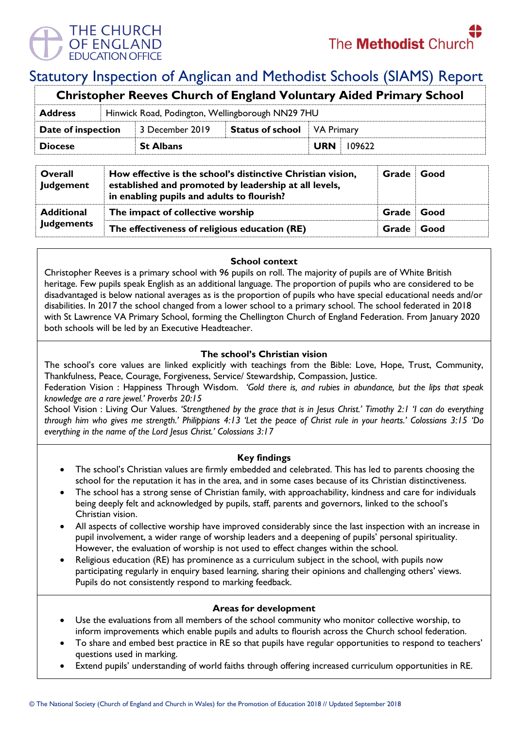

# Statutory Inspection of Anglican and Methodist Schools (SIAMS) Report

| <b>Christopher Reeves Church of England Voluntary Aided Primary School</b> |  |                                                  |                                    |            |        |  |  |
|----------------------------------------------------------------------------|--|--------------------------------------------------|------------------------------------|------------|--------|--|--|
| <b>Address</b>                                                             |  | Hinwick Road, Podington, Wellingborough NN29 7HU |                                    |            |        |  |  |
| Date of inspection                                                         |  | 3 December 2019                                  | <b>Status of school</b> VA Primary |            |        |  |  |
| <b>Diocese</b>                                                             |  | <b>St Albans</b>                                 |                                    | <b>URN</b> | 109622 |  |  |
|                                                                            |  |                                                  |                                    |            |        |  |  |

| Overall<br>Judgement                   | How effective is the school's distinctive Christian vision,<br>established and promoted by leadership at all levels,<br>in enabling pupils and adults to flourish? | Grade      | Good   |
|----------------------------------------|--------------------------------------------------------------------------------------------------------------------------------------------------------------------|------------|--------|
| <b>Additional</b><br><b>Judgements</b> | The impact of collective worship                                                                                                                                   | Grade Good |        |
|                                        | The effectiveness of religious education (RE)                                                                                                                      | Grade      | ∣ Good |

## **School context**

Christopher Reeves is a primary school with 96 pupils on roll. The majority of pupils are of White British heritage. Few pupils speak English as an additional language. The proportion of pupils who are considered to be disadvantaged is below national averages as is the proportion of pupils who have special educational needs and/or disabilities. In 2017 the school changed from a lower school to a primary school. The school federated in 2018 with St Lawrence VA Primary School, forming the Chellington Church of England Federation. From January 2020 both schools will be led by an Executive Headteacher.

## **The school's Christian vision**

The school's core values are linked explicitly with teachings from the Bible: Love, Hope, Trust, Community, Thankfulness, Peace, Courage, Forgiveness, Service/ Stewardship, Compassion, Justice.

Federation Vision : Happiness Through Wisdom. *'Gold there is, and rubies in abundance, but the lips that speak knowledge are a rare jewel.' Proverbs 20:15*

School Vision : Living Our Values. *'Strengthened by the grace that is in Jesus Christ.' Timothy 2:1 'I can do everything through him who gives me strength.' Philippians 4:13 'Let the peace of Christ rule in your hearts.' Colossians 3:15 'Do everything in the name of the Lord Jesus Christ.' Colossians 3:17*

## **Key findings**

- The school's Christian values are firmly embedded and celebrated. This has led to parents choosing the school for the reputation it has in the area, and in some cases because of its Christian distinctiveness.
- The school has a strong sense of Christian family, with approachability, kindness and care for individuals being deeply felt and acknowledged by pupils, staff, parents and governors, linked to the school's Christian vision.
- All aspects of collective worship have improved considerably since the last inspection with an increase in pupil involvement, a wider range of worship leaders and a deepening of pupils' personal spirituality. However, the evaluation of worship is not used to effect changes within the school.
- Religious education (RE) has prominence as a curriculum subject in the school, with pupils now participating regularly in enquiry based learning, sharing their opinions and challenging others' views. Pupils do not consistently respond to marking feedback.

## **Areas for development**

- Use the evaluations from all members of the school community who monitor collective worship, to inform improvements which enable pupils and adults to flourish across the Church school federation.
- To share and embed best practice in RE so that pupils have regular opportunities to respond to teachers' questions used in marking.
- Extend pupils' understanding of world faiths through offering increased curriculum opportunities in RE.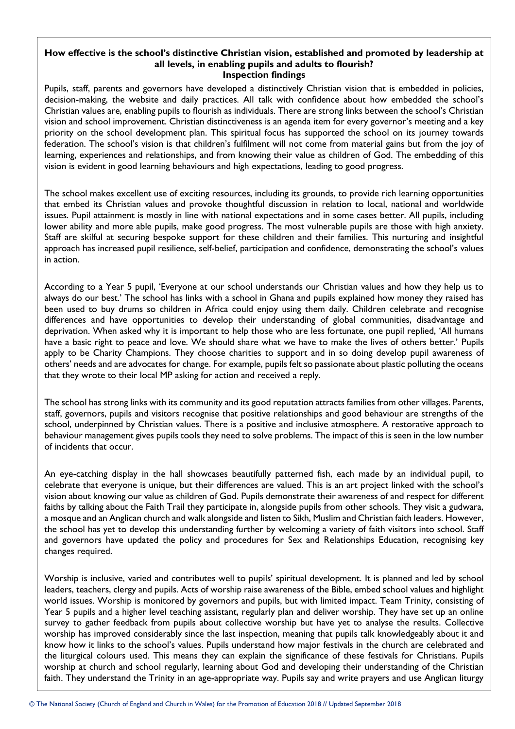#### **How effective is the school's distinctive Christian vision, established and promoted by leadership at all levels, in enabling pupils and adults to flourish? Inspection findings**

Pupils, staff, parents and governors have developed a distinctively Christian vision that is embedded in policies, decision-making, the website and daily practices. All talk with confidence about how embedded the school's Christian values are, enabling pupils to flourish as individuals. There are strong links between the school's Christian vision and school improvement. Christian distinctiveness is an agenda item for every governor's meeting and a key priority on the school development plan. This spiritual focus has supported the school on its journey towards federation. The school's vision is that children's fulfilment will not come from material gains but from the joy of learning, experiences and relationships, and from knowing their value as children of God. The embedding of this vision is evident in good learning behaviours and high expectations, leading to good progress.

The school makes excellent use of exciting resources, including its grounds, to provide rich learning opportunities that embed its Christian values and provoke thoughtful discussion in relation to local, national and worldwide issues. Pupil attainment is mostly in line with national expectations and in some cases better. All pupils, including lower ability and more able pupils, make good progress. The most vulnerable pupils are those with high anxiety. Staff are skilful at securing bespoke support for these children and their families. This nurturing and insightful approach has increased pupil resilience, self-belief, participation and confidence, demonstrating the school's values in action.

According to a Year 5 pupil, 'Everyone at our school understands our Christian values and how they help us to always do our best.' The school has links with a school in Ghana and pupils explained how money they raised has been used to buy drums so children in Africa could enjoy using them daily. Children celebrate and recognise differences and have opportunities to develop their understanding of global communities, disadvantage and deprivation. When asked why it is important to help those who are less fortunate, one pupil replied, 'All humans have a basic right to peace and love. We should share what we have to make the lives of others better.' Pupils apply to be Charity Champions. They choose charities to support and in so doing develop pupil awareness of others' needs and are advocates for change. For example, pupils felt so passionate about plastic polluting the oceans that they wrote to their local MP asking for action and received a reply.

The school has strong links with its community and its good reputation attracts families from other villages. Parents, staff, governors, pupils and visitors recognise that positive relationships and good behaviour are strengths of the school, underpinned by Christian values. There is a positive and inclusive atmosphere. A restorative approach to behaviour management gives pupils tools they need to solve problems. The impact of this is seen in the low number of incidents that occur.

An eye-catching display in the hall showcases beautifully patterned fish, each made by an individual pupil, to celebrate that everyone is unique, but their differences are valued. This is an art project linked with the school's vision about knowing our value as children of God. Pupils demonstrate their awareness of and respect for different faiths by talking about the Faith Trail they participate in, alongside pupils from other schools. They visit a gudwara, a mosque and an Anglican church and walk alongside and listen to Sikh, Muslim and Christian faith leaders. However, the school has yet to develop this understanding further by welcoming a variety of faith visitors into school. Staff and governors have updated the policy and procedures for Sex and Relationships Education, recognising key changes required.

Worship is inclusive, varied and contributes well to pupils' spiritual development. It is planned and led by school leaders, teachers, clergy and pupils. Acts of worship raise awareness of the Bible, embed school values and highlight world issues. Worship is monitored by governors and pupils, but with limited impact. Team Trinity, consisting of Year 5 pupils and a higher level teaching assistant, regularly plan and deliver worship. They have set up an online survey to gather feedback from pupils about collective worship but have yet to analyse the results. Collective worship has improved considerably since the last inspection, meaning that pupils talk knowledgeably about it and know how it links to the school's values. Pupils understand how major festivals in the church are celebrated and the liturgical colours used. This means they can explain the significance of these festivals for Christians. Pupils worship at church and school regularly, learning about God and developing their understanding of the Christian faith. They understand the Trinity in an age-appropriate way. Pupils say and write prayers and use Anglican liturgy